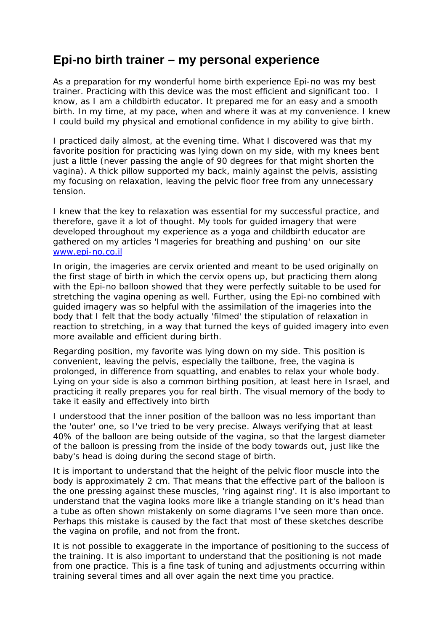## **Epi-no birth trainer – my personal experience**

As a preparation for my wonderful home birth experience Epi-no was my best trainer. Practicing with this device was the most efficient and significant too. I know, as I am a childbirth educator. It prepared me for an easy and a smooth birth. In my time, at my pace, when and where it was at my convenience. I knew I could build my physical and emotional confidence in my ability to give birth.

I practiced daily almost, at the evening time. What I discovered was that my favorite position for practicing was lying down on my side, with my knees bent just a little (never passing the angle of 90 degrees for that might shorten the vagina). A thick pillow supported my back, mainly against the pelvis, assisting my focusing on relaxation, leaving the pelvic floor free from any unnecessary tension.

I knew that the key to relaxation was essential for my successful practice, and therefore, gave it a lot of thought. My tools for guided imagery that were developed throughout my experience as a yoga and childbirth educator are gathered on my articles 'Imageries for breathing and pushing' on our site www.epi-no.co.il

In origin, the imageries are cervix oriented and meant to be used originally on the first stage of birth in which the cervix opens up, but practicing them along with the Epi-no balloon showed that they were perfectly suitable to be used for stretching the vagina opening as well. Further, using the Epi-no combined with guided imagery was so helpful with the assimilation of the imageries into the body that I felt that the body actually 'filmed' the stipulation of relaxation in reaction to stretching, in a way that turned the keys of guided imagery into even more available and efficient during birth.

Regarding position, my favorite was lying down on my side. This position is convenient, leaving the pelvis, especially the tailbone, free, the vagina is prolonged, in difference from squatting, and enables to relax your whole body. Lying on your side is also a common birthing position, at least here in Israel, and practicing it really prepares you for real birth. The visual memory of the body to take it easily and effectively into birth

I understood that the inner position of the balloon was no less important than the 'outer' one, so I've tried to be very precise. Always verifying that at least 40% of the balloon are being outside of the vagina, so that the largest diameter of the balloon is pressing from the inside of the body towards out, just like the baby's head is doing during the second stage of birth.

It is important to understand that the height of the pelvic floor muscle into the body is approximately 2 cm. That means that the effective part of the balloon is the one pressing against these muscles, 'ring against ring'. It is also important to understand that the vagina looks more like a triangle standing on it's head than a tube as often shown mistakenly on some diagrams I've seen more than once. Perhaps this mistake is caused by the fact that most of these sketches describe the vagina on profile, and not from the front.

It is not possible to exaggerate in the importance of positioning to the success of the training. It is also important to understand that the positioning is not made from one practice. This is a fine task of tuning and adjustments occurring within training several times and all over again the next time you practice.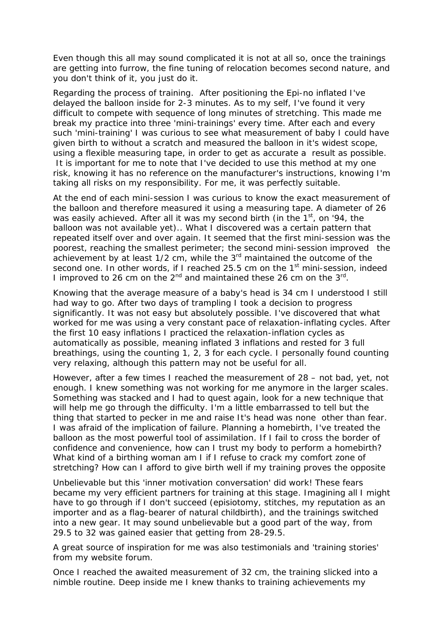Even though this all may sound complicated it is not at all so, once the trainings are getting into furrow, the fine tuning of relocation becomes second nature, and you don't think of it, you just do it.

Regarding the process of training. After positioning the Epi-no inflated I've delayed the balloon inside for 2-3 minutes. As to my self, I've found it very difficult to compete with sequence of long minutes of stretching. This made me break my practice into three 'mini-trainings' every time. After each and every such 'mini-training' I was curious to see what measurement of baby I could have given birth to without a scratch and measured the balloon in it's widest scope, using a flexible measuring tape, in order to get as accurate a result as possible. It is important for me to note that I've decided to use this method at my one risk, knowing it has no reference on the manufacturer's instructions, knowing I'm taking all risks on my responsibility. For me, it was perfectly suitable.

At the end of each mini-session I was curious to know the exact measurement of the balloon and therefore measured it using a measuring tape. A diameter of 26 was easily achieved. After all it was my second birth (in the 1<sup>st</sup>, on '94, the balloon was not available yet).. What I discovered was a certain pattern that repeated itself over and over again. It seemed that the first mini-session was the poorest, reaching the smallest perimeter; the second mini-session improved the achievement by at least  $1/2$  cm, while the  $3<sup>rd</sup>$  maintained the outcome of the second one. In other words, if I reached 25.5 cm on the 1<sup>st</sup> mini-session, indeed I improved to 26 cm on the  $2^{nd}$  and maintained these 26 cm on the  $3^{rd}$ .

Knowing that the average measure of a baby's head is 34 cm I understood I still had way to go. After two days of trampling I took a decision to progress significantly. It was not easy but absolutely possible. I've discovered that what worked for me was using a very constant pace of relaxation-inflating cycles. After the first 10 easy inflations I practiced the relaxation-inflation cycles as automatically as possible, meaning inflated 3 inflations and rested for 3 full breathings, using the counting 1, 2, 3 for each cycle. I personally found counting very relaxing, although this pattern may not be useful for all.

However, after a few times I reached the measurement of 28 – not bad, yet, not enough. I knew something was not working for me anymore in the larger scales. Something was stacked and I had to quest again, look for a new technique that will help me go through the difficulty. I'm a little embarrassed to tell but the thing that started to pecker in me and raise It's head was none other than fear. I was afraid of the implication of failure. Planning a homebirth, I've treated the balloon as the most powerful tool of assimilation. If I fail to cross the border of confidence and convenience, how can I trust my body to perform a homebirth? What kind of a birthing woman am I if I refuse to crack my comfort zone of stretching? How can I afford to give birth well if my training proves the opposite

Unbelievable but this 'inner motivation conversation' did work! These fears became my very efficient partners for training at this stage. Imagining all I might have to go through if I don't succeed (episiotomy, stitches, my reputation as an importer and as a flag-bearer of natural childbirth), and the trainings switched into a new gear. It may sound unbelievable but a good part of the way, from 29.5 to 32 was gained easier that getting from 28-29.5.

A great source of inspiration for me was also testimonials and 'training stories' from my website forum.

Once I reached the awaited measurement of 32 cm, the training slicked into a nimble routine. Deep inside me I knew thanks to training achievements my